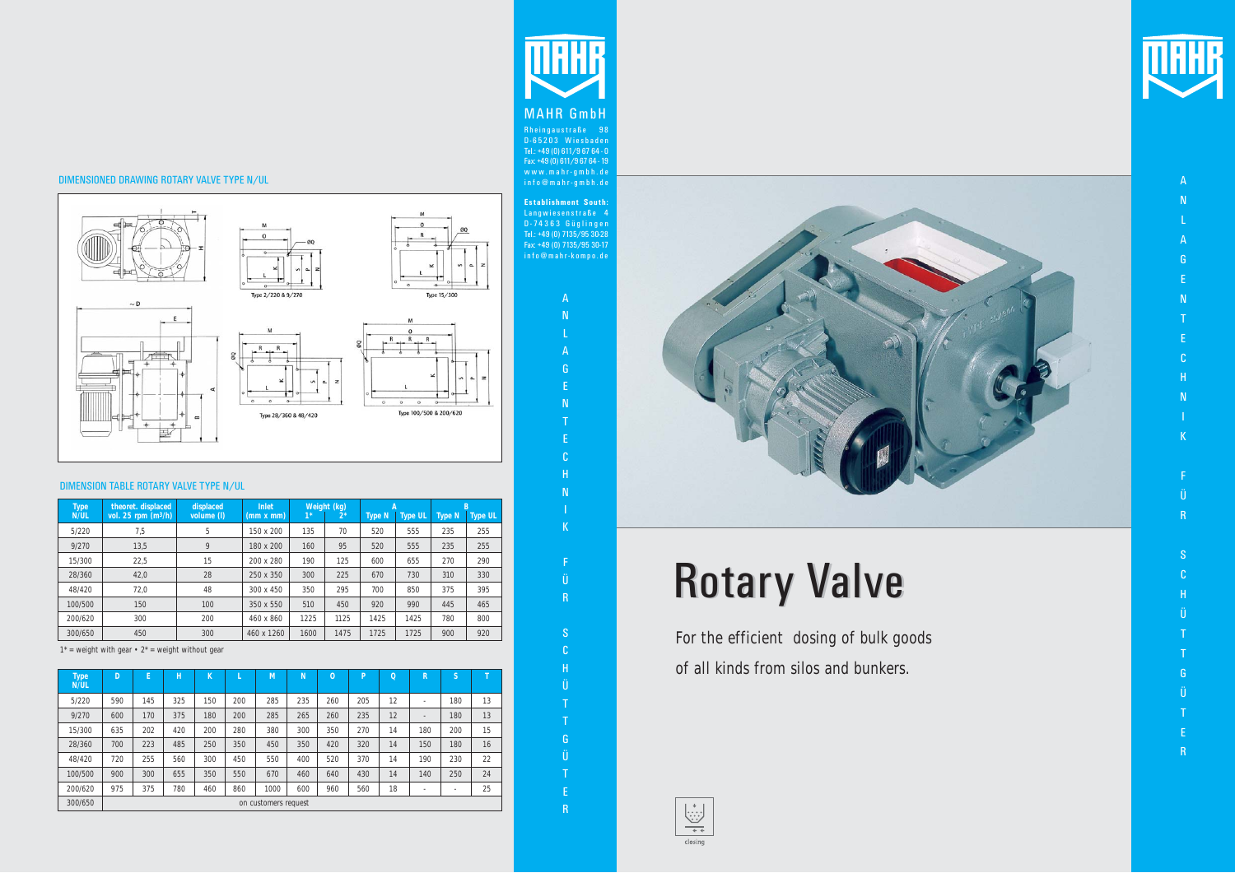For the efficient dosing of bulk goods of all kinds from silos and bunkers.





- 
- 
- ាទ
- 
- 
- 
- 
- $\mathbf N$
- 
- 
- 
- $R$
- ANLAGENTECHNIKFÜRSCHÜTTGÜTE <sub>S</sub>
- H
- -fi
- 
- -G
	-
	-
	- R

# Rotary Valve Rotary Valve

ANLAGENTECHNIKFÜRSCHÜTTGÜTE

F. Ü

 $R$ 

 $\mathsf{S}$  $\mathbf{c}$  $\overline{H}$ 

Ü  $\mathsf{T}$  $\mathsf{T}$ G Ü

 $\overline{\mathsf{K}}$ 

R

 $\mathsf{E}$ 



### MAHR GmbH

Rheingaustraße 98 D-65203 Wiesbaden Tel.: +49 (0) 611/9 67 64 - 0 Fax: +49 (0) 611/9 67 64 - 19 www.mahr-gmbh.de info@mahr-gmbh.de

**Establishment South:** Langwiesenstraße 4 D-74363 Güglingen Tel.: +49 (0) 7135/95 30-28 Fax: +49 (0) 7135/95 30-17 info@mahr-kompo.de

> $\mathsf{A}$  $\overline{N}$

 $\overline{A}$ 

G  $\overline{F}$ 

 $\overline{N}$ 

 $\overline{F}$  $\mathfrak{c}$  $\overline{\mathsf{H}}$  $\overline{N}$ 

#### DIMENSION TABLE ROTARY VALVE TYPE N/UL

| <b>Type</b><br>N/UL | D   |                      | H   | K   |     | M    | <sup>N</sup> | $\overline{0}$ | P   | $\circ$ | R   | $\mathbf C$<br>G |    |
|---------------------|-----|----------------------|-----|-----|-----|------|--------------|----------------|-----|---------|-----|------------------|----|
| 5/220               | 590 | 145                  | 325 | 150 | 200 | 285  | 235          | 260            | 205 | 12      | -   | 180              | 13 |
| 9/270               | 600 | 170                  | 375 | 180 | 200 | 285  | 265          | 260            | 235 | 12      | $-$ | 180              | 13 |
| 15/300              | 635 | 202                  | 420 | 200 | 280 | 380  | 300          | 350            | 270 | 14      | 180 | 200              | 15 |
| 28/360              | 700 | 223                  | 485 | 250 | 350 | 450  | 350          | 420            | 320 | 14      | 150 | 180              | 16 |
| 48/420              | 720 | 255                  | 560 | 300 | 450 | 550  | 400          | 520            | 370 | 14      | 190 | 230              | 22 |
| 100/500             | 900 | 300                  | 655 | 350 | 550 | 670  | 460          | 640            | 430 | 14      | 140 | 250              | 24 |
| 200/620             | 975 | 375                  | 780 | 460 | 860 | 1000 | 600          | 960            | 560 | 18      | -   | ۰                | 25 |
| 300/650             |     | on customers request |     |     |     |      |              |                |     |         |     |                  |    |



#### DIMENSIONED DRAWING ROTARY VALVE TYPE N/UL



| <b>Type</b> | theoret. displaced        | displaced  | Inlet      | Weight (kg) |       |        |                |        |          |
|-------------|---------------------------|------------|------------|-------------|-------|--------|----------------|--------|----------|
| N/UL        | vol. $25$ rpm ( $m^3/h$ ) | volume (I) | (mm x mm)  | $1^*$       | $2^*$ | Type N | <b>Type UL</b> | Type N | Type UL' |
| 5/220       | 7,5                       | 5          | 150 x 200  | 135         | 70    | 520    | 555            | 235    | 255      |
| 9/270       | 13,5                      | 9          | 180 x 200  | 160         | 95    | 520    | 555            | 235    | 255      |
| 15/300      | 22,5                      | 15         | 200 x 280  | 190         | 125   | 600    | 655            | 270    | 290      |
| 28/360      | 42,0                      | 28         | 250 x 350  | 300         | 225   | 670    | 730            | 310    | 330      |
| 48/420      | 72,0                      | 48         | 300 x 450  | 350         | 295   | 700    | 850            | 375    | 395      |
| 100/500     | 150                       | 100        | 350 x 550  | 510         | 450   | 920    | 990            | 445    | 465      |
| 200/620     | 300                       | 200        | 460 x 860  | 1225        | 1125  | 1425   | 1425           | 780    | 800      |
| 300/650     | 450                       | 300        | 460 x 1260 | 1600        | 1475  | 1725   | 1725           | 900    | 920      |

 $1^*$  = weight with gear  $\cdot$  2<sup>\*</sup> = weight without gear